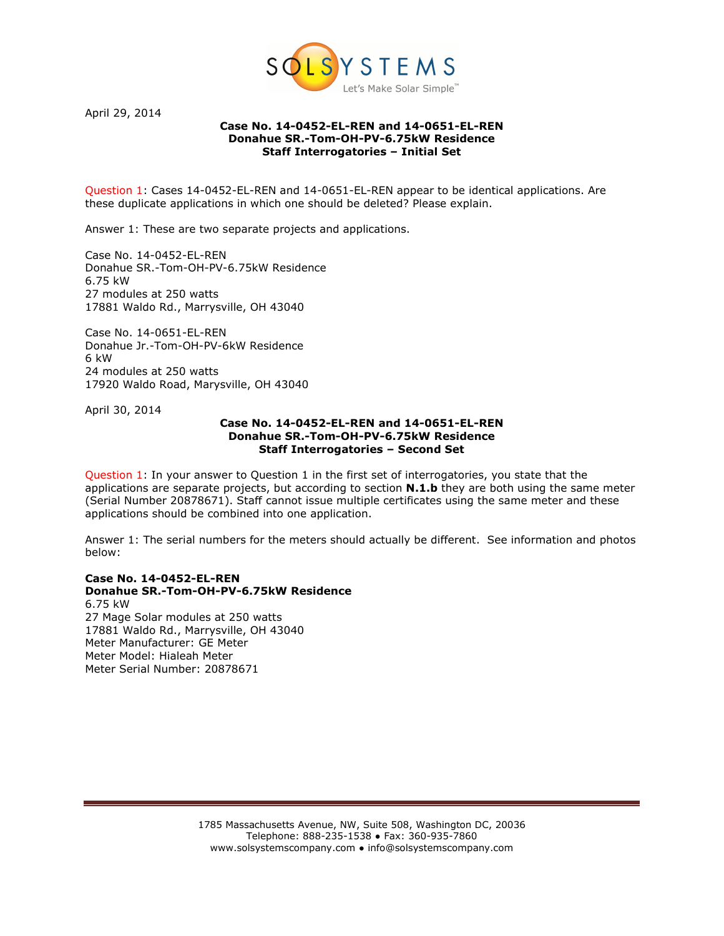

April 29, 2014

## Case No. 14-0452-EL-REN and 14-0651-EL-REN Donahue SR.-Tom-OH-PV-6.75kW Residence Staff Interrogatories – Initial Set

Question 1: Cases 14-0452-EL-REN and 14-0651-EL-REN appear to be identical applications. Are these duplicate applications in which one should be deleted? Please explain.

Answer 1: These are two separate projects and applications.

Case No. 14-0452-EL-REN Donahue SR.-Tom-OH-PV-6.75kW Residence 6.75 kW 27 modules at 250 watts 17881 Waldo Rd., Marrysville, OH 43040

Case No. 14-0651-EL-REN Donahue Jr.-Tom-OH-PV-6kW Residence 6 kW 24 modules at 250 watts 17920 Waldo Road, Marysville, OH 43040

April 30, 2014

## Case No. 14-0452-EL-REN and 14-0651-EL-REN Donahue SR.-Tom-OH-PV-6.75kW Residence Staff Interrogatories – Second Set

Question 1: In your answer to Question 1 in the first set of interrogatories, you state that the applications are separate projects, but according to section **N.1.b** they are both using the same meter (Serial Number 20878671). Staff cannot issue multiple certificates using the same meter and these applications should be combined into one application.

Answer 1: The serial numbers for the meters should actually be different. See information and photos below:

## Case No. 14-0452-EL-REN Donahue SR.-Tom-OH-PV-6.75kW Residence

6.75 kW 27 Mage Solar modules at 250 watts 17881 Waldo Rd., Marrysville, OH 43040 Meter Manufacturer: GE Meter Meter Model: Hialeah Meter Meter Serial Number: 20878671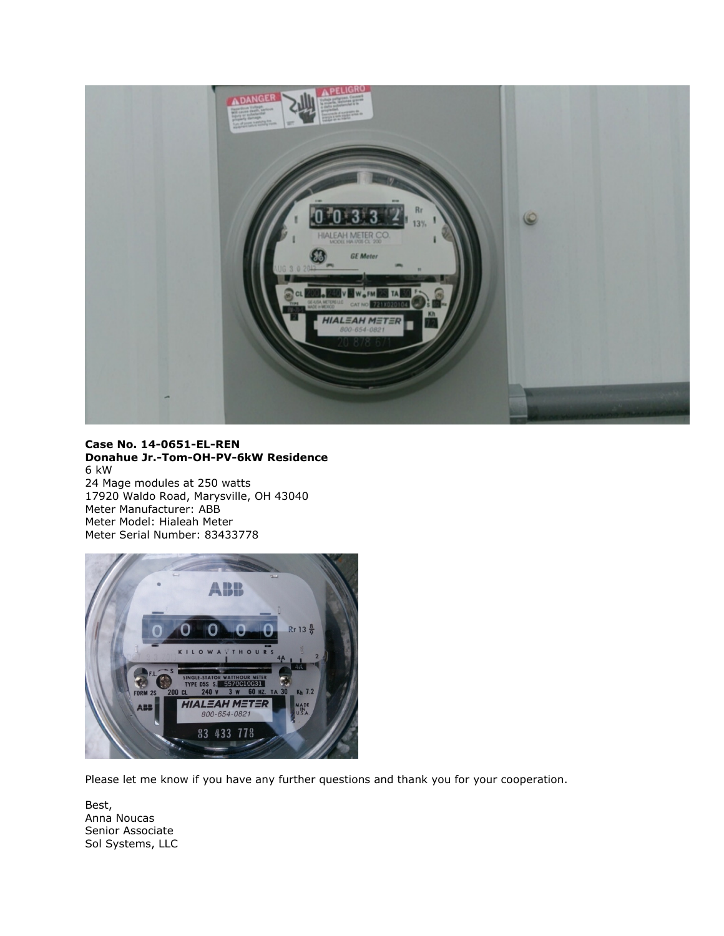

## Case No. 14-0651-EL-REN Donahue Jr.-Tom-OH-PV-6kW Residence 6 kW

24 Mage modules at 250 watts 17920 Waldo Road, Marysville, OH 43040 Meter Manufacturer: ABB Meter Model: Hialeah Meter Meter Serial Number: 83433778



Please let me know if you have any further questions and thank you for your cooperation.

Best, Anna Noucas Senior Associate Sol Systems, LLC